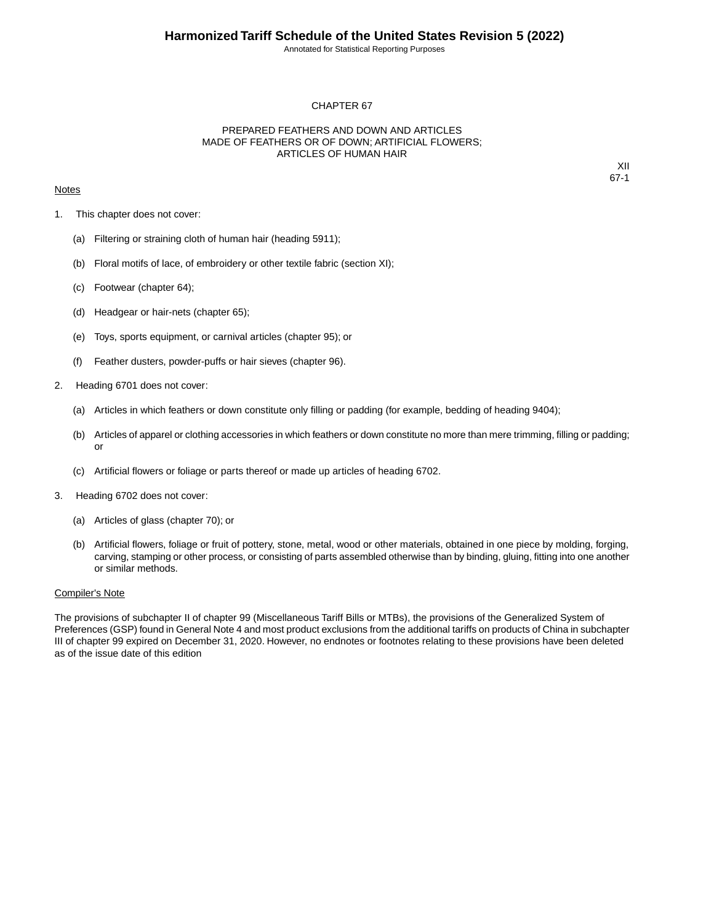Annotated for Statistical Reporting Purposes

### CHAPTER 67

## PREPARED FEATHERS AND DOWN AND ARTICLES MADE OF FEATHERS OR OF DOWN; ARTIFICIAL FLOWERS; ARTICLES OF HUMAN HAIR

### **Notes**

XII 67-1

- 1. This chapter does not cover:
	- (a) Filtering or straining cloth of human hair (heading 5911);
	- (b) Floral motifs of lace, of embroidery or other textile fabric (section XI);
	- (c) Footwear (chapter 64);
	- (d) Headgear or hair-nets (chapter 65);
	- (e) Toys, sports equipment, or carnival articles (chapter 95); or
	- (f) Feather dusters, powder-puffs or hair sieves (chapter 96).
- 2. Heading 6701 does not cover:
	- (a) Articles in which feathers or down constitute only filling or padding (for example, bedding of heading 9404);
	- (b) Articles of apparel or clothing accessories in which feathers or down constitute no more than mere trimming, filling or padding; or
	- (c) Artificial flowers or foliage or parts thereof or made up articles of heading 6702.
- 3. Heading 6702 does not cover:
	- (a) Articles of glass (chapter 70); or
	- (b) Artificial flowers, foliage or fruit of pottery, stone, metal, wood or other materials, obtained in one piece by molding, forging, carving, stamping or other process, or consisting of parts assembled otherwise than by binding, gluing, fitting into one another or similar methods.

### Compiler's Note

The provisions of subchapter II of chapter 99 (Miscellaneous Tariff Bills or MTBs), the provisions of the Generalized System of Preferences (GSP) found in General Note 4 and most product exclusions from the additional tariffs on products of China in subchapter III of chapter 99 expired on December 31, 2020. However, no endnotes or footnotes relating to these provisions have been deleted as of the issue date of this edition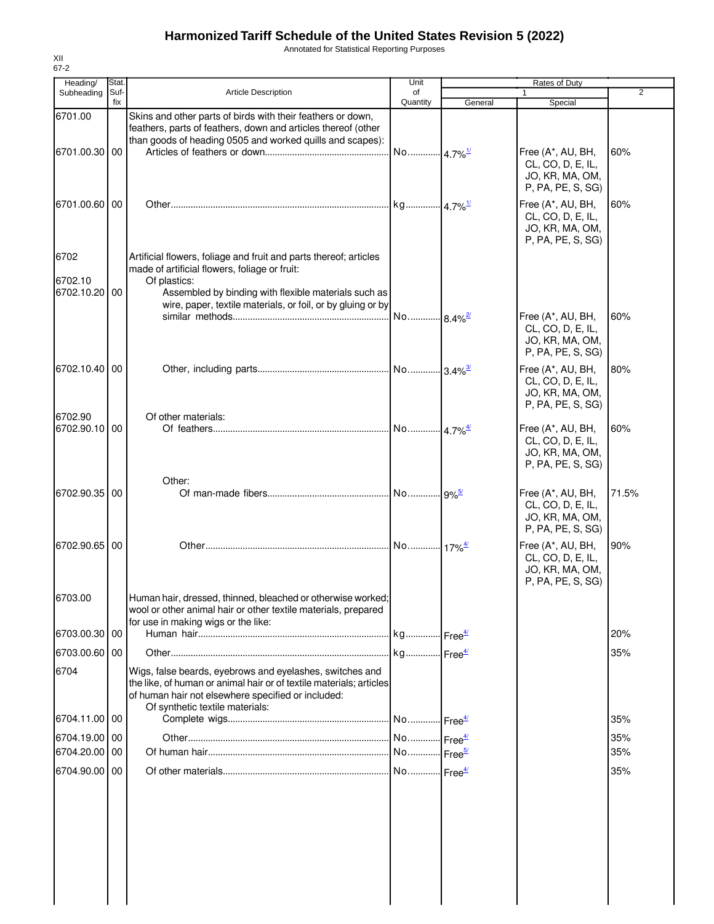# **Harmonized Tariff Schedule of the United States Revision 5 (2022)**

Annotated for Statistical Reporting Purposes

| Heading/<br>Subheading   | Stat.<br>Suf- | <b>Article Description</b>                                                                                                                                                                                               | Unit<br>of            |         | Rates of Duty<br>$\mathbf{1}$                                                  | $\overline{2}$ |
|--------------------------|---------------|--------------------------------------------------------------------------------------------------------------------------------------------------------------------------------------------------------------------------|-----------------------|---------|--------------------------------------------------------------------------------|----------------|
|                          | fix           |                                                                                                                                                                                                                          | Quantity              | General | Special                                                                        |                |
| 6701.00                  |               | Skins and other parts of birds with their feathers or down,<br>feathers, parts of feathers, down and articles thereof (other<br>than goods of heading 0505 and worked quills and scapes):                                |                       |         |                                                                                |                |
| 6701.00.30 00            |               |                                                                                                                                                                                                                          | No 4.7% <sup>1/</sup> |         | Free (A*, AU, BH,<br>CL, CO, D, E, IL,<br>JO, KR, MA, OM,<br>P, PA, PE, S, SG) | 60%            |
| 6701.00.60 00            |               |                                                                                                                                                                                                                          |                       |         | Free (A*, AU, BH,<br>CL, CO, D, E, IL,<br>JO, KR, MA, OM,<br>P, PA, PE, S, SG) | 60%            |
| 6702                     |               | Artificial flowers, foliage and fruit and parts thereof; articles<br>made of artificial flowers, foliage or fruit:                                                                                                       |                       |         |                                                                                |                |
| 6702.10<br>6702.10.20 00 |               | Of plastics:<br>Assembled by binding with flexible materials such as<br>wire, paper, textile materials, or foil, or by gluing or by                                                                                      |                       |         |                                                                                |                |
|                          |               |                                                                                                                                                                                                                          |                       |         | Free (A*, AU, BH,<br>CL, CO, D, E, IL,<br>JO, KR, MA, OM,<br>P, PA, PE, S, SG) | 60%            |
| 6702.10.40 00            |               |                                                                                                                                                                                                                          |                       |         | Free (A*, AU, BH,<br>CL, CO, D, E, IL,<br>JO, KR, MA, OM,<br>P, PA, PE, S, SG) | 80%            |
| 6702.90                  |               | Of other materials:                                                                                                                                                                                                      |                       |         |                                                                                |                |
| 6702.90.10 00            |               |                                                                                                                                                                                                                          |                       |         | Free (A*, AU, BH,<br>CL, CO, D, E, IL,<br>JO, KR, MA, OM,<br>P, PA, PE, S, SG) | 60%            |
|                          |               | Other:                                                                                                                                                                                                                   |                       |         |                                                                                |                |
| 6702.90.35 00            |               |                                                                                                                                                                                                                          |                       |         | Free (A*, AU, BH,<br>CL, CO, D, E, IL,<br>JO, KR, MA, OM,<br>P, PA, PE, S, SG) | 71.5%          |
| 6702.90.65 00            |               |                                                                                                                                                                                                                          |                       |         | Free (A*, AU, BH,<br>CL, CO, D, E, IL,<br>JO, KR, MA, OM,<br>P, PA, PE, S, SG) | 90%            |
| 6703.00                  |               | Human hair, dressed, thinned, bleached or otherwise worked;<br>wool or other animal hair or other textile materials, prepared<br>for use in making wigs or the like:                                                     |                       |         |                                                                                |                |
| 6703.00.30 00            |               |                                                                                                                                                                                                                          |                       |         |                                                                                | 20%            |
| 6703.00.60 00            |               |                                                                                                                                                                                                                          |                       |         |                                                                                | 35%            |
| 6704                     |               | Wigs, false beards, eyebrows and eyelashes, switches and<br>the like, of human or animal hair or of textile materials; articles<br>of human hair not elsewhere specified or included:<br>Of synthetic textile materials: |                       |         |                                                                                |                |
| 6704.11.00   00          |               |                                                                                                                                                                                                                          |                       |         |                                                                                | 35%            |
| 6704.19.00 00            |               |                                                                                                                                                                                                                          |                       |         |                                                                                | 35%            |
| 6704.20.00 00            |               |                                                                                                                                                                                                                          |                       |         |                                                                                | 35%            |
| 6704.90.00 00            |               |                                                                                                                                                                                                                          |                       |         |                                                                                | 35%            |
|                          |               |                                                                                                                                                                                                                          |                       |         |                                                                                |                |
|                          |               |                                                                                                                                                                                                                          |                       |         |                                                                                |                |

XII